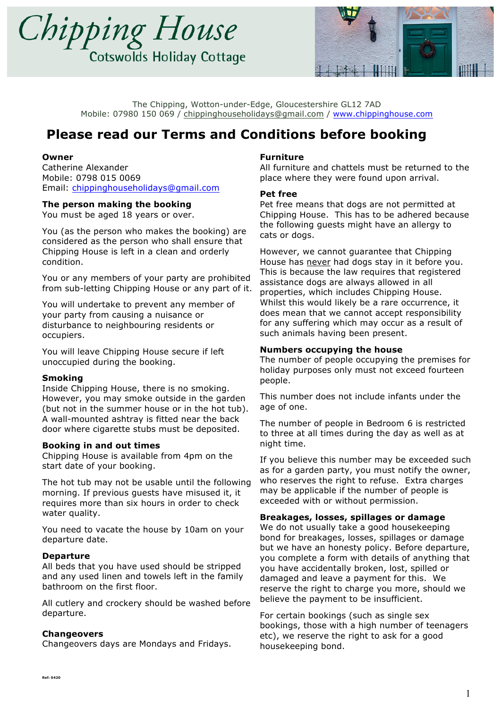# Chipping House Cotswolds Holiday Cottage



The Chipping, Wotton-under-Edge, Gloucestershire GL12 7AD Mobile: 07980 150 069 / chippinghouseholidays@gmail.com / www.chippinghouse.com

# **Please read our Terms and Conditions before booking**

# **Owner**

Catherine Alexander Mobile: 0798 015 0069 Email: chippinghouseholidays@gmail.com

# **The person making the booking**

You must be aged 18 years or over.

You (as the person who makes the booking) are considered as the person who shall ensure that Chipping House is left in a clean and orderly condition.

You or any members of your party are prohibited from sub-letting Chipping House or any part of it.

You will undertake to prevent any member of your party from causing a nuisance or disturbance to neighbouring residents or occupiers.

You will leave Chipping House secure if left unoccupied during the booking.

# **Smoking**

Inside Chipping House, there is no smoking. However, you may smoke outside in the garden (but not in the summer house or in the hot tub). A wall-mounted ashtray is fitted near the back door where cigarette stubs must be deposited.

# **Booking in and out times**

Chipping House is available from 4pm on the start date of your booking.

The hot tub may not be usable until the following morning. If previous guests have misused it, it requires more than six hours in order to check water quality.

You need to vacate the house by 10am on your departure date.

# **Departure**

All beds that you have used should be stripped and any used linen and towels left in the family bathroom on the first floor.

All cutlery and crockery should be washed before departure.

# **Changeovers**

Changeovers days are Mondays and Fridays.

# **Furniture**

All furniture and chattels must be returned to the place where they were found upon arrival.

# **Pet free**

Pet free means that dogs are not permitted at Chipping House. This has to be adhered because the following guests might have an allergy to cats or dogs.

However, we cannot guarantee that Chipping House has never had dogs stay in it before you. This is because the law requires that registered assistance dogs are always allowed in all properties, which includes Chipping House. Whilst this would likely be a rare occurrence, it does mean that we cannot accept responsibility for any suffering which may occur as a result of such animals having been present.

# **Numbers occupying the house**

The number of people occupying the premises for holiday purposes only must not exceed fourteen people.

This number does not include infants under the age of one.

The number of people in Bedroom 6 is restricted to three at all times during the day as well as at night time.

If you believe this number may be exceeded such as for a garden party, you must notify the owner, who reserves the right to refuse. Extra charges may be applicable if the number of people is exceeded with or without permission.

# **Breakages, losses, spillages or damage**

We do not usually take a good housekeeping bond for breakages, losses, spillages or damage but we have an honesty policy. Before departure, you complete a form with details of anything that you have accidentally broken, lost, spilled or damaged and leave a payment for this. We reserve the right to charge you more, should we believe the payment to be insufficient.

For certain bookings (such as single sex bookings, those with a high number of teenagers etc), we reserve the right to ask for a good housekeeping bond.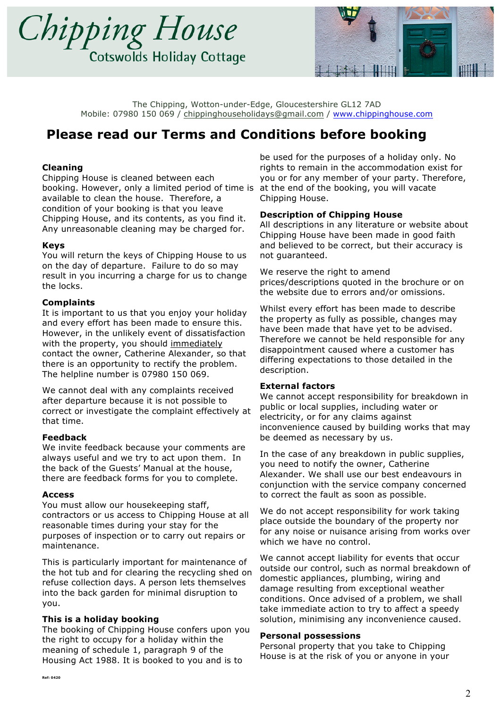



The Chipping, Wotton-under-Edge, Gloucestershire GL12 7AD Mobile: 07980 150 069 / chippinghouseholidays@gmail.com / www.chippinghouse.com

# **Please read our Terms and Conditions before booking**

# **Cleaning**

Chipping House is cleaned between each booking. However, only a limited period of time is available to clean the house. Therefore, a condition of your booking is that you leave Chipping House, and its contents, as you find it. Any unreasonable cleaning may be charged for.

#### **Keys**

You will return the keys of Chipping House to us on the day of departure. Failure to do so may result in you incurring a charge for us to change the locks.

# **Complaints**

It is important to us that you enjoy your holiday and every effort has been made to ensure this. However, in the unlikely event of dissatisfaction with the property, you should immediately contact the owner, Catherine Alexander, so that there is an opportunity to rectify the problem. The helpline number is 07980 150 069.

We cannot deal with any complaints received after departure because it is not possible to correct or investigate the complaint effectively at that time.

#### **Feedback**

We invite feedback because your comments are always useful and we try to act upon them. In the back of the Guests' Manual at the house, there are feedback forms for you to complete.

#### **Access**

You must allow our housekeeping staff, contractors or us access to Chipping House at all reasonable times during your stay for the purposes of inspection or to carry out repairs or maintenance.

This is particularly important for maintenance of the hot tub and for clearing the recycling shed on refuse collection days. A person lets themselves into the back garden for minimal disruption to you.

# **This is a holiday booking**

The booking of Chipping House confers upon you the right to occupy for a holiday within the meaning of schedule 1, paragraph 9 of the Housing Act 1988. It is booked to you and is to

be used for the purposes of a holiday only. No rights to remain in the accommodation exist for you or for any member of your party. Therefore, at the end of the booking, you will vacate Chipping House.

# **Description of Chipping House**

All descriptions in any literature or website about Chipping House have been made in good faith and believed to be correct, but their accuracy is not guaranteed.

We reserve the right to amend prices/descriptions quoted in the brochure or on the website due to errors and/or omissions.

Whilst every effort has been made to describe the property as fully as possible, changes may have been made that have yet to be advised. Therefore we cannot be held responsible for any disappointment caused where a customer has differing expectations to those detailed in the description.

# **External factors**

We cannot accept responsibility for breakdown in public or local supplies, including water or electricity, or for any claims against inconvenience caused by building works that may be deemed as necessary by us.

In the case of any breakdown in public supplies, you need to notify the owner, Catherine Alexander. We shall use our best endeavours in conjunction with the service company concerned to correct the fault as soon as possible.

We do not accept responsibility for work taking place outside the boundary of the property nor for any noise or nuisance arising from works over which we have no control.

We cannot accept liability for events that occur outside our control, such as normal breakdown of domestic appliances, plumbing, wiring and damage resulting from exceptional weather conditions. Once advised of a problem, we shall take immediate action to try to affect a speedy solution, minimising any inconvenience caused.

#### **Personal possessions**

Personal property that you take to Chipping House is at the risk of you or anyone in your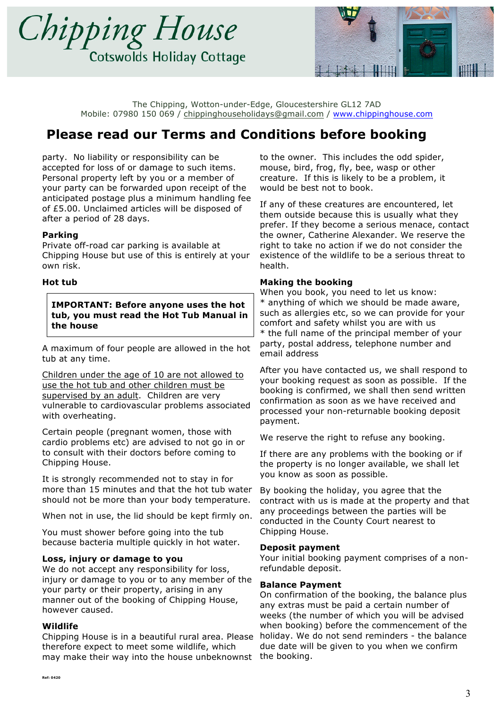



The Chipping, Wotton-under-Edge, Gloucestershire GL12 7AD Mobile: 07980 150 069 / chippinghouseholidays@gmail.com / www.chippinghouse.com

# **Please read our Terms and Conditions before booking**

party. No liability or responsibility can be accepted for loss of or damage to such items. Personal property left by you or a member of your party can be forwarded upon receipt of the anticipated postage plus a minimum handling fee of £5.00. Unclaimed articles will be disposed of after a period of 28 days.

# **Parking**

Private off-road car parking is available at Chipping House but use of this is entirely at your own risk.

#### **Hot tub**

**IMPORTANT: Before anyone uses the hot tub, you must read the Hot Tub Manual in the house**

A maximum of four people are allowed in the hot tub at any time.

Children under the age of 10 are not allowed to use the hot tub and other children must be supervised by an adult. Children are very vulnerable to cardiovascular problems associated with overheating.

Certain people (pregnant women, those with cardio problems etc) are advised to not go in or to consult with their doctors before coming to Chipping House.

It is strongly recommended not to stay in for more than 15 minutes and that the hot tub water should not be more than your body temperature.

When not in use, the lid should be kept firmly on.

You must shower before going into the tub because bacteria multiple quickly in hot water.

# **Loss, injury or damage to you**

We do not accept any responsibility for loss, injury or damage to you or to any member of the your party or their property, arising in any manner out of the booking of Chipping House, however caused.

#### **Wildlife**

Chipping House is in a beautiful rural area. Please therefore expect to meet some wildlife, which may make their way into the house unbeknownst the booking.

to the owner. This includes the odd spider, mouse, bird, frog, fly, bee, wasp or other creature. If this is likely to be a problem, it would be best not to book.

If any of these creatures are encountered, let them outside because this is usually what they prefer. If they become a serious menace, contact the owner, Catherine Alexander. We reserve the right to take no action if we do not consider the existence of the wildlife to be a serious threat to health.

#### **Making the booking**

When you book, you need to let us know: \* anything of which we should be made aware, such as allergies etc, so we can provide for your comfort and safety whilst you are with us \* the full name of the principal member of your party, postal address, telephone number and email address

After you have contacted us, we shall respond to your booking request as soon as possible. If the booking is confirmed, we shall then send written confirmation as soon as we have received and processed your non-returnable booking deposit payment.

We reserve the right to refuse any booking.

If there are any problems with the booking or if the property is no longer available, we shall let you know as soon as possible.

By booking the holiday, you agree that the contract with us is made at the property and that any proceedings between the parties will be conducted in the County Court nearest to Chipping House.

# **Deposit payment**

Your initial booking payment comprises of a nonrefundable deposit.

#### **Balance Payment**

On confirmation of the booking, the balance plus any extras must be paid a certain number of weeks (the number of which you will be advised when booking) before the commencement of the holiday. We do not send reminders - the balance due date will be given to you when we confirm